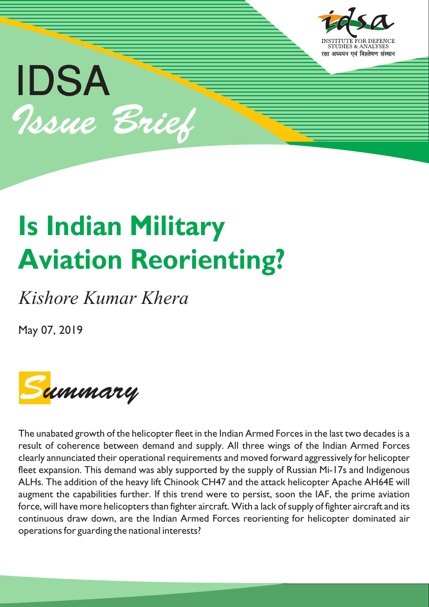

# **Is Indian Military Aviation Reorienting?**

*Kishore Kumar Khera*

May 07, 2019



The unabated growth of the helicopter fleet in the Indian Armed Forces in the last two decades is a result of coherence between demand and supply. All three wings of the Indian Armed Forces clearly annunciated their operational requirements and moved forward aggressively for helicopter fleet expansion. This demand was ably supported by the supply of Russian Mi-17s and Indigenous ALHs. The addition of the heavy lift Chinook CH47 and the attack helicopter Apache AH64E will augment the capabilities further. If this trend were to persist, soon the IAF, the prime aviation force, will have more helicopters than fighter aircraft. With a lack of supply of fighter aircraft and its continuous draw down, are the Indian Armed Forces reorienting for helicopter dominated air operations for guarding the national interests?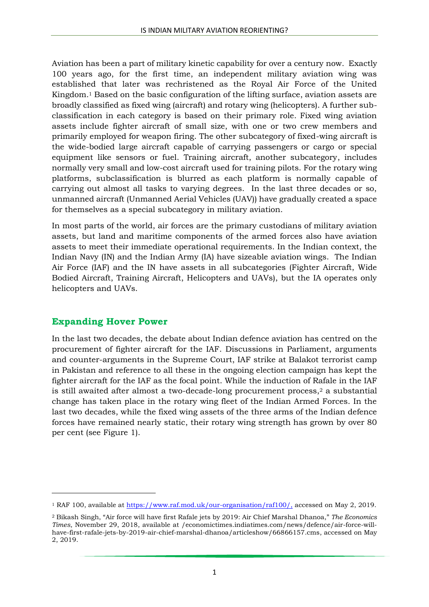Aviation has been a part of military kinetic capability for over a century now. Exactly 100 years ago, for the first time, an independent military aviation wing was established that later was rechristened as the Royal Air Force of the United Kingdom.<sup>1</sup> Based on the basic configuration of the lifting surface, aviation assets are broadly classified as fixed wing (aircraft) and rotary wing (helicopters). A further subclassification in each category is based on their primary role. Fixed wing aviation assets include fighter aircraft of small size, with one or two crew members and primarily employed for weapon firing. The other subcategory of fixed-wing aircraft is the wide-bodied large aircraft capable of carrying passengers or cargo or special equipment like sensors or fuel. Training aircraft, another subcategory, includes normally very small and low-cost aircraft used for training pilots. For the rotary wing platforms, subclassification is blurred as each platform is normally capable of carrying out almost all tasks to varying degrees. In the last three decades or so, unmanned aircraft (Unmanned Aerial Vehicles (UAV)) have gradually created a space for themselves as a special subcategory in military aviation.

In most parts of the world, air forces are the primary custodians of military aviation assets, but land and maritime components of the armed forces also have aviation assets to meet their immediate operational requirements. In the Indian context, the Indian Navy (IN) and the Indian Army (IA) have sizeable aviation wings. The Indian Air Force (IAF) and the IN have assets in all subcategories (Fighter Aircraft, Wide Bodied Aircraft, Training Aircraft, Helicopters and UAVs), but the IA operates only helicopters and UAVs.

#### **Expanding Hover Power**

1

In the last two decades, the debate about Indian defence aviation has centred on the procurement of fighter aircraft for the IAF. Discussions in Parliament, arguments and counter-arguments in the Supreme Court, IAF strike at Balakot terrorist camp in Pakistan and reference to all these in the ongoing election campaign has kept the fighter aircraft for the IAF as the focal point. While the induction of Rafale in the IAF is still awaited after almost a two-decade-long procurement process,<sup>2</sup> a substantial change has taken place in the rotary wing fleet of the Indian Armed Forces. In the last two decades, while the fixed wing assets of the three arms of the Indian defence forces have remained nearly static, their rotary wing strength has grown by over 80 per cent (see Figure 1).

<sup>&</sup>lt;sup>1</sup> RAF 100, available at [https://www.raf.mod.uk/our-organisation/raf100/,](https://www.raf.mod.uk/our-organisation/raf100/) accessed on May 2, 2019.

<sup>2</sup> Bikash Singh, "Air force will have first Rafale jets by 2019: Air Chief Marshal Dhanoa," *The Economics Times*, November 29, 2018, available at /economictimes.indiatimes.com/news/defence/air-force-willhave-first-rafale-jets-by-2019-air-chief-marshal-dhanoa/articleshow/66866157.cms, accessed on May 2, 2019.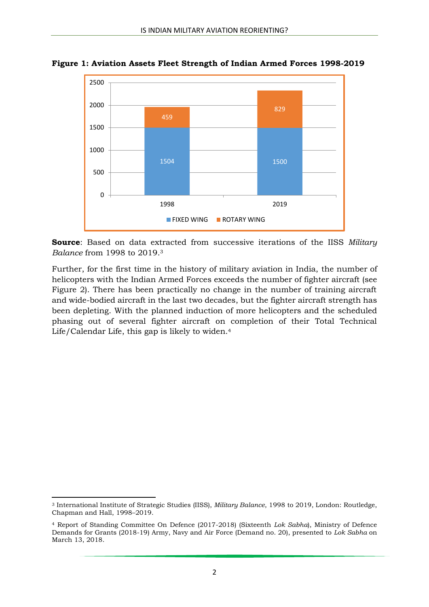

**Figure 1: Aviation Assets Fleet Strength of Indian Armed Forces 1998-2019**

**Source**: Based on data extracted from successive iterations of the IISS *Military Balance* from 1998 to 2019. 3

Further, for the first time in the history of military aviation in India, the number of helicopters with the Indian Armed Forces exceeds the number of fighter aircraft (see Figure 2). There has been practically no change in the number of training aircraft and wide-bodied aircraft in the last two decades, but the fighter aircraft strength has been depleting. With the planned induction of more helicopters and the scheduled phasing out of several fighter aircraft on completion of their Total Technical Life/Calendar Life, this gap is likely to widen.<sup>4</sup>

1

<sup>3</sup> International Institute of Strategic Studies (IISS), *Military Balance*, 1998 to 2019, London: Routledge, Chapman and Hall, 1998–2019.

<sup>4</sup> Report of Standing Committee On Defence (2017-2018) (Sixteenth *Lok Sabha*), Ministry of Defence Demands for Grants (2018-19) Army, Navy and Air Force (Demand no. 20), presented to *Lok Sabha* on March 13, 2018.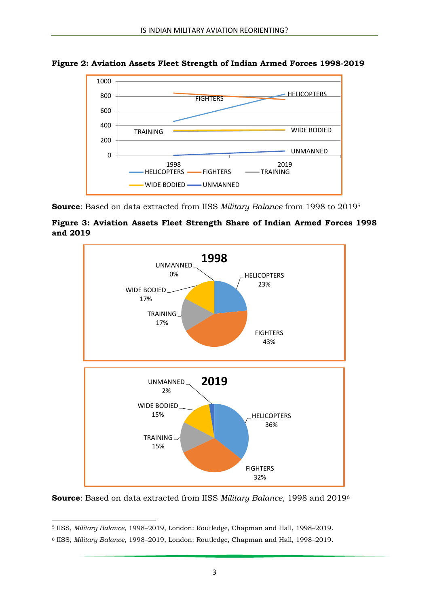

**Figure 2: Aviation Assets Fleet Strength of Indian Armed Forces 1998-2019**

**Source**: Based on data extracted from IISS *Military Balance* from 1998 to 2019<sup>5</sup>





**Source**: Based on data extracted from IISS *Military Balance,* 1998 and 2019<sup>6</sup>

**<sup>.</sup>** <sup>5</sup> IISS, *Military Balance*, 1998–2019, London: Routledge, Chapman and Hall, 1998–2019.

<sup>6</sup> IISS, *Military Balance*, 1998–2019, London: Routledge, Chapman and Hall, 1998–2019.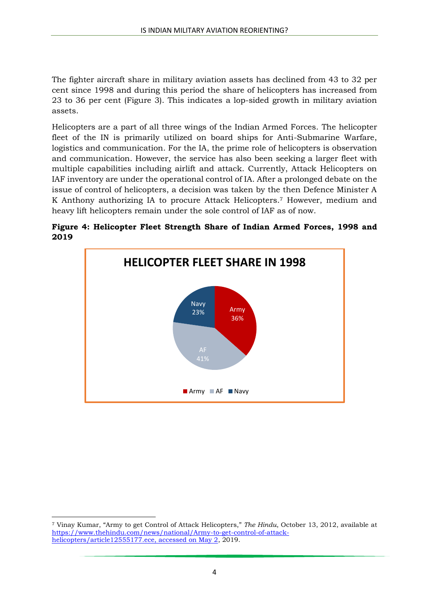The fighter aircraft share in military aviation assets has declined from 43 to 32 per cent since 1998 and during this period the share of helicopters has increased from 23 to 36 per cent (Figure 3). This indicates a lop-sided growth in military aviation assets.

Helicopters are a part of all three wings of the Indian Armed Forces. The helicopter fleet of the IN is primarily utilized on board ships for Anti-Submarine Warfare, logistics and communication. For the IA, the prime role of helicopters is observation and communication. However, the service has also been seeking a larger fleet with multiple capabilities including airlift and attack. Currently, Attack Helicopters on IAF inventory are under the operational control of IA. After a prolonged debate on the issue of control of helicopters, a decision was taken by the then Defence Minister A K Anthony authorizing IA to procure Attack Helicopters.<sup>7</sup> However, medium and heavy lift helicopters remain under the sole control of IAF as of now.





**.** 

<sup>7</sup> Vinay Kumar, "Army to get Control of Attack Helicopters," *The Hindu*, October 13, 2012, available at [https://www.thehindu.com/news/national/Army-to-get-control-of-attack](https://www.thehindu.com/news/national/Army-to-get-control-of-attack-helicopters/article12555177.ece,%20accessed%20on%20May%202)[helicopters/article12555177.ece, accessed on May 2,](https://www.thehindu.com/news/national/Army-to-get-control-of-attack-helicopters/article12555177.ece,%20accessed%20on%20May%202) 2019.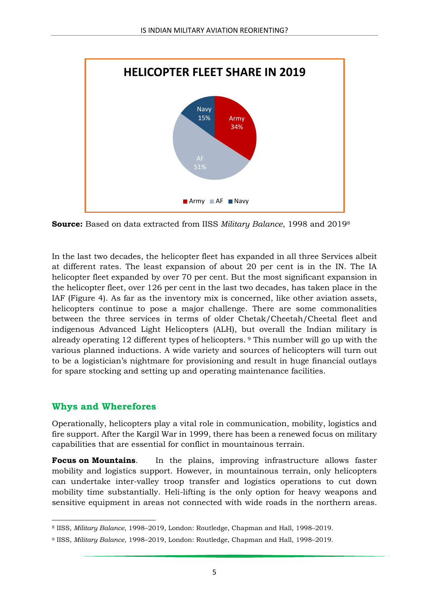

**Source:** Based on data extracted from IISS *Military Balance*, 1998 and 2019<sup>8</sup>

In the last two decades, the helicopter fleet has expanded in all three Services albeit at different rates. The least expansion of about 20 per cent is in the IN. The IA helicopter fleet expanded by over 70 per cent. But the most significant expansion in the helicopter fleet, over 126 per cent in the last two decades, has taken place in the IAF (Figure 4). As far as the inventory mix is concerned, like other aviation assets, helicopters continue to pose a major challenge. There are some commonalities between the three services in terms of older Chetak/Cheetah/Cheetal fleet and indigenous Advanced Light Helicopters (ALH), but overall the Indian military is already operating 12 different types of helicopters. <sup>9</sup> This number will go up with the various planned inductions. A wide variety and sources of helicopters will turn out to be a logistician's nightmare for provisioning and result in huge financial outlays for spare stocking and setting up and operating maintenance facilities.

#### **Whys and Wherefores**

Operationally, helicopters play a vital role in communication, mobility, logistics and fire support. After the Kargil War in 1999, there has been a renewed focus on military capabilities that are essential for conflict in mountainous terrain.

**Focus on Mountains**. In the plains, improving infrastructure allows faster mobility and logistics support. However, in mountainous terrain, only helicopters can undertake inter-valley troop transfer and logistics operations to cut down mobility time substantially. Heli-lifting is the only option for heavy weapons and sensitive equipment in areas not connected with wide roads in the northern areas.

**<sup>.</sup>** <sup>8</sup> IISS, *Military Balance*, 1998–2019, London: Routledge, Chapman and Hall, 1998–2019.

<sup>9</sup> IISS, *Military Balance*, 1998–2019, London: Routledge, Chapman and Hall, 1998–2019.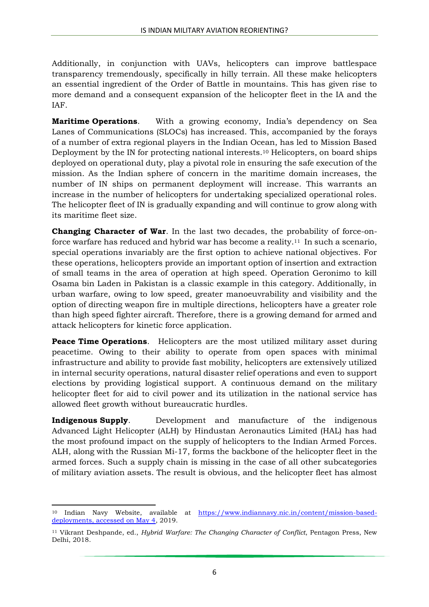Additionally, in conjunction with UAVs, helicopters can improve battlespace transparency tremendously, specifically in hilly terrain. All these make helicopters an essential ingredient of the Order of Battle in mountains. This has given rise to more demand and a consequent expansion of the helicopter fleet in the IA and the IAF.

**Maritime Operations**. With a growing economy, India's dependency on Sea Lanes of Communications (SLOCs) has increased. This, accompanied by the forays of a number of extra regional players in the Indian Ocean, has led to Mission Based Deployment by the IN for protecting national interests.<sup>10</sup> Helicopters, on board ships deployed on operational duty, play a pivotal role in ensuring the safe execution of the mission. As the Indian sphere of concern in the maritime domain increases, the number of IN ships on permanent deployment will increase. This warrants an increase in the number of helicopters for undertaking specialized operational roles. The helicopter fleet of IN is gradually expanding and will continue to grow along with its maritime fleet size.

**Changing Character of War**. In the last two decades, the probability of force-onforce warfare has reduced and hybrid war has become a reality.11 In such a scenario, special operations invariably are the first option to achieve national objectives. For these operations, helicopters provide an important option of insertion and extraction of small teams in the area of operation at high speed. Operation Geronimo to kill Osama bin Laden in Pakistan is a classic example in this category. Additionally, in urban warfare, owing to low speed, greater manoeuvrability and visibility and the option of directing weapon fire in multiple directions, helicopters have a greater role than high speed fighter aircraft. Therefore, there is a growing demand for armed and attack helicopters for kinetic force application.

**Peace Time Operations**. Helicopters are the most utilized military asset during peacetime. Owing to their ability to operate from open spaces with minimal infrastructure and ability to provide fast mobility, helicopters are extensively utilized in internal security operations, natural disaster relief operations and even to support elections by providing logistical support. A continuous demand on the military helicopter fleet for aid to civil power and its utilization in the national service has allowed fleet growth without bureaucratic hurdles.

**Indigenous Supply**. Development and manufacture of the indigenous Advanced Light Helicopter (ALH) by Hindustan Aeronautics Limited (HAL) has had the most profound impact on the supply of helicopters to the Indian Armed Forces. ALH, along with the Russian Mi-17, forms the backbone of the helicopter fleet in the armed forces. Such a supply chain is missing in the case of all other subcategories of military aviation assets. The result is obvious, and the helicopter fleet has almost

 $\overline{a}$ <sup>10</sup> Indian Navy Website, available at [https://www.indiannavy.nic.in/content/mission-based](https://www.indiannavy.nic.in/content/mission-based-deployments,%20accessed%20on%20May%204)[deployments, accessed on May 4,](https://www.indiannavy.nic.in/content/mission-based-deployments,%20accessed%20on%20May%204) 2019.

<sup>11</sup> Vikrant Deshpande, ed., *Hybrid Warfare: The Changing Character of Conflict*, Pentagon Press, New Delhi, 2018.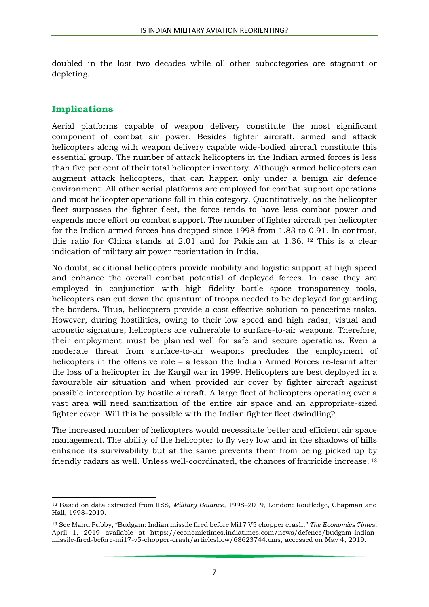doubled in the last two decades while all other subcategories are stagnant or depleting.

## **Implications**

1

Aerial platforms capable of weapon delivery constitute the most significant component of combat air power. Besides fighter aircraft, armed and attack helicopters along with weapon delivery capable wide-bodied aircraft constitute this essential group. The number of attack helicopters in the Indian armed forces is less than five per cent of their total helicopter inventory. Although armed helicopters can augment attack helicopters, that can happen only under a benign air defence environment. All other aerial platforms are employed for combat support operations and most helicopter operations fall in this category. Quantitatively, as the helicopter fleet surpasses the fighter fleet, the force tends to have less combat power and expends more effort on combat support. The number of fighter aircraft per helicopter for the Indian armed forces has dropped since 1998 from 1.83 to 0.91. In contrast, this ratio for China stands at 2.01 and for Pakistan at 1.36. <sup>12</sup> This is a clear indication of military air power reorientation in India.

No doubt, additional helicopters provide mobility and logistic support at high speed and enhance the overall combat potential of deployed forces. In case they are employed in conjunction with high fidelity battle space transparency tools, helicopters can cut down the quantum of troops needed to be deployed for guarding the borders. Thus, helicopters provide a cost-effective solution to peacetime tasks. However, during hostilities, owing to their low speed and high radar, visual and acoustic signature, helicopters are vulnerable to surface-to-air weapons. Therefore, their employment must be planned well for safe and secure operations. Even a moderate threat from surface-to-air weapons precludes the employment of helicopters in the offensive role – a lesson the Indian Armed Forces re-learnt after the loss of a helicopter in the Kargil war in 1999. Helicopters are best deployed in a favourable air situation and when provided air cover by fighter aircraft against possible interception by hostile aircraft. A large fleet of helicopters operating over a vast area will need sanitization of the entire air space and an appropriate-sized fighter cover. Will this be possible with the Indian fighter fleet dwindling?

The increased number of helicopters would necessitate better and efficient air space management. The ability of the helicopter to fly very low and in the shadows of hills enhance its survivability but at the same prevents them from being picked up by friendly radars as well. Unless well-coordinated, the chances of fratricide increase.<sup>13</sup>

<sup>12</sup> Based on data extracted from IISS, *Military Balance*, 1998–2019, London: Routledge, Chapman and Hall, 1998–2019.

<sup>13</sup> See Manu Pubby, "Budgam: Indian missile fired before Mi17 V5 chopper crash," *The Economics Times*, April 1, 2019 available at https://economictimes.indiatimes.com/news/defence/budgam-indianmissile-fired-before-mi17-v5-chopper-crash/articleshow/68623744.cms, accessed on May 4, 2019.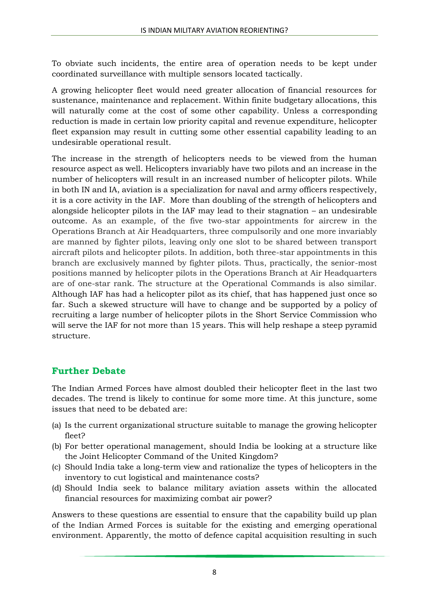To obviate such incidents, the entire area of operation needs to be kept under coordinated surveillance with multiple sensors located tactically.

A growing helicopter fleet would need greater allocation of financial resources for sustenance, maintenance and replacement. Within finite budgetary allocations, this will naturally come at the cost of some other capability. Unless a corresponding reduction is made in certain low priority capital and revenue expenditure, helicopter fleet expansion may result in cutting some other essential capability leading to an undesirable operational result.

The increase in the strength of helicopters needs to be viewed from the human resource aspect as well. Helicopters invariably have two pilots and an increase in the number of helicopters will result in an increased number of helicopter pilots. While in both IN and IA, aviation is a specialization for naval and army officers respectively, it is a core activity in the IAF. More than doubling of the strength of helicopters and alongside helicopter pilots in the IAF may lead to their stagnation – an undesirable outcome. As an example, of the five two-star appointments for aircrew in the Operations Branch at Air Headquarters, three compulsorily and one more invariably are manned by fighter pilots, leaving only one slot to be shared between transport aircraft pilots and helicopter pilots. In addition, both three-star appointments in this branch are exclusively manned by fighter pilots. Thus, practically, the senior-most positions manned by helicopter pilots in the Operations Branch at Air Headquarters are of one-star rank. The structure at the Operational Commands is also similar. Although IAF has had a helicopter pilot as its chief, that has happened just once so far. Such a skewed structure will have to change and be supported by a policy of recruiting a large number of helicopter pilots in the Short Service Commission who will serve the IAF for not more than 15 years. This will help reshape a steep pyramid structure.

# **Further Debate**

The Indian Armed Forces have almost doubled their helicopter fleet in the last two decades. The trend is likely to continue for some more time. At this juncture, some issues that need to be debated are:

- (a) Is the current organizational structure suitable to manage the growing helicopter fleet?
- (b) For better operational management, should India be looking at a structure like the Joint Helicopter Command of the United Kingdom?
- (c) Should India take a long-term view and rationalize the types of helicopters in the inventory to cut logistical and maintenance costs?
- (d) Should India seek to balance military aviation assets within the allocated financial resources for maximizing combat air power?

Answers to these questions are essential to ensure that the capability build up plan of the Indian Armed Forces is suitable for the existing and emerging operational environment. Apparently, the motto of defence capital acquisition resulting in such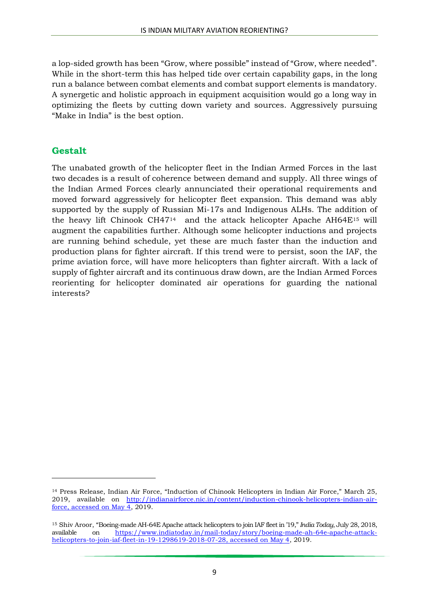a lop-sided growth has been "Grow, where possible" instead of "Grow, where needed". While in the short-term this has helped tide over certain capability gaps, in the long run a balance between combat elements and combat support elements is mandatory. A synergetic and holistic approach in equipment acquisition would go a long way in optimizing the fleets by cutting down variety and sources. Aggressively pursuing "Make in India" is the best option.

### **Gestalt**

 $\overline{a}$ 

The unabated growth of the helicopter fleet in the Indian Armed Forces in the last two decades is a result of coherence between demand and supply. All three wings of the Indian Armed Forces clearly annunciated their operational requirements and moved forward aggressively for helicopter fleet expansion. This demand was ably supported by the supply of Russian Mi-17s and Indigenous ALHs. The addition of the heavy lift Chinook CH47<sup>14</sup> and the attack helicopter Apache AH64E<sup>15</sup> will augment the capabilities further. Although some helicopter inductions and projects are running behind schedule, yet these are much faster than the induction and production plans for fighter aircraft. If this trend were to persist, soon the IAF, the prime aviation force, will have more helicopters than fighter aircraft. With a lack of supply of fighter aircraft and its continuous draw down, are the Indian Armed Forces reorienting for helicopter dominated air operations for guarding the national interests?

<sup>14</sup> Press Release, Indian Air Force, "Induction of Chinook Helicopters in Indian Air Force," March 25, 2019, available on [http://indianairforce.nic.in/content/induction-chinook-helicopters-indian-air](http://indianairforce.nic.in/content/induction-chinook-helicopters-indian-air-force,%20accessed%20on%20May%204)[force, accessed on May 4,](http://indianairforce.nic.in/content/induction-chinook-helicopters-indian-air-force,%20accessed%20on%20May%204) 2019.

<sup>15</sup> Shiv Aroor, "Boeing-made AH-64E Apache attack helicopters to join IAF fleet in '19," *India Today*, July 28, 2018, available on [https://www.indiatoday.in/mail-today/story/boeing-made-ah-64e-apache-attack](https://www.indiatoday.in/mail-today/story/boeing-made-ah-64e-apache-attack-helicopters-to-join-iaf-fleet-in-19-1298619-2018-07-28,%20accessed%20on%20May%204)[helicopters-to-join-iaf-fleet-in-19-1298619-2018-07-28, accessed on May 4,](https://www.indiatoday.in/mail-today/story/boeing-made-ah-64e-apache-attack-helicopters-to-join-iaf-fleet-in-19-1298619-2018-07-28,%20accessed%20on%20May%204) 2019.